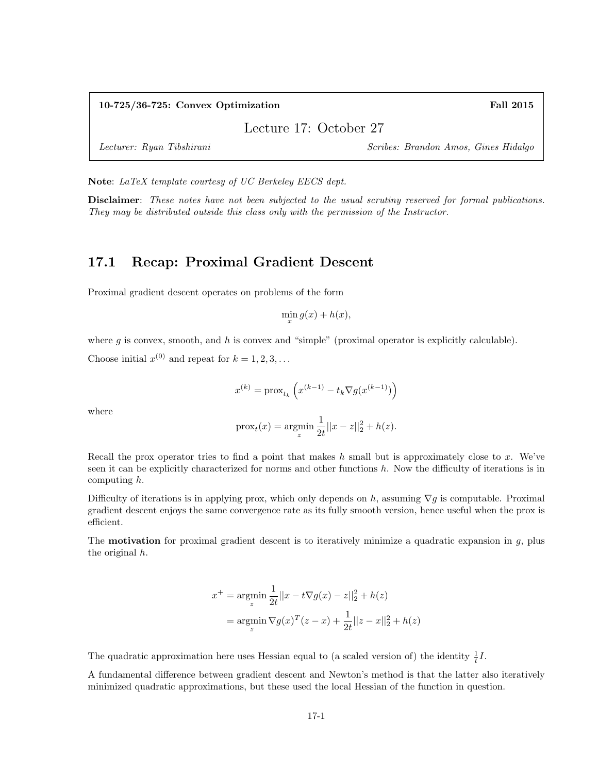#### 10-725/36-725: Convex Optimization Fall 2015

Lecture 17: October 27

Lecturer: Ryan Tibshirani Scribes: Brandon Amos, Gines Hidalgo

Note: LaTeX template courtesy of UC Berkeley EECS dept.

Disclaimer: These notes have not been subjected to the usual scrutiny reserved for formal publications. They may be distributed outside this class only with the permission of the Instructor.

# 17.1 Recap: Proximal Gradient Descent

Proximal gradient descent operates on problems of the form

 $\min_{x} g(x) + h(x),$ 

where  $g$  is convex, smooth, and  $h$  is convex and "simple" (proximal operator is explicitly calculable).

Choose initial  $x^{(0)}$  and repeat for  $k = 1, 2, 3, ...$ 

$$
x^{(k)} = \operatorname{prox}_{t_k}\left(x^{(k-1)} - t_k \nabla g(x^{(k-1)})\right)
$$

where

$$
\text{prox}_{t}(x) = \underset{z}{\text{argmin}} \frac{1}{2t} ||x - z||_2^2 + h(z).
$$

Recall the prox operator tries to find a point that makes  $h$  small but is approximately close to  $x$ . We've seen it can be explicitly characterized for norms and other functions h. Now the difficulty of iterations is in computing h.

Difficulty of iterations is in applying prox, which only depends on h, assuming  $\nabla g$  is computable. Proximal gradient descent enjoys the same convergence rate as its fully smooth version, hence useful when the prox is efficient.

The **motivation** for proximal gradient descent is to iteratively minimize a quadratic expansion in  $g$ , plus the original h.

$$
x^{+} = \underset{z}{\operatorname{argmin}} \frac{1}{2t} ||x - t\nabla g(x) - z||_{2}^{2} + h(z)
$$

$$
= \underset{z}{\operatorname{argmin}} \nabla g(x)^{T} (z - x) + \frac{1}{2t} ||z - x||_{2}^{2} + h(z)
$$

The quadratic approximation here uses Hessian equal to (a scaled version of) the identity  $\frac{1}{t}I$ .

A fundamental difference between gradient descent and Newton's method is that the latter also iteratively minimized quadratic approximations, but these used the local Hessian of the function in question.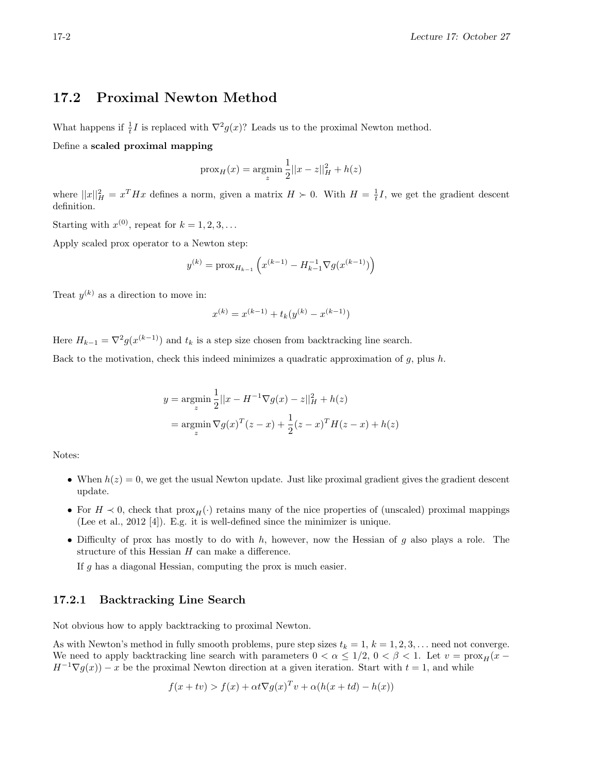### 17.2 Proximal Newton Method

What happens if  $\frac{1}{t}I$  is replaced with  $\nabla^2 g(x)$ ? Leads us to the proximal Newton method.

#### Define a scaled proximal mapping

$$
prox_{H}(x) = \underset{z}{\text{argmin}} \frac{1}{2} ||x - z||_{H}^{2} + h(z)
$$

where  $||x||_H^2 = x^T H x$  defines a norm, given a matrix  $H > 0$ . With  $H = \frac{1}{t}I$ , we get the gradient descent definition.

Starting with  $x^{(0)}$ , repeat for  $k = 1, 2, 3, ...$ 

Apply scaled prox operator to a Newton step:

$$
y^{(k)} = \text{prox}_{H_{k-1}}\left(x^{(k-1)} - H_{k-1}^{-1} \nabla g(x^{(k-1)})\right)
$$

Treat  $y^{(k)}$  as a direction to move in:

$$
x^{(k)} = x^{(k-1)} + t_k(y^{(k)} - x^{(k-1)}) \label{eq:2}
$$

Here  $H_{k-1} = \nabla^2 g(x^{(k-1)})$  and  $t_k$  is a step size chosen from backtracking line search.

Back to the motivation, check this indeed minimizes a quadratic approximation of g, plus h.

$$
y = \underset{z}{\text{argmin}} \frac{1}{2} ||x - H^{-1} \nabla g(x) - z||_H^2 + h(z)
$$
  
= 
$$
\underset{z}{\text{argmin}} \nabla g(x)^T (z - x) + \frac{1}{2} (z - x)^T H(z - x) + h(z)
$$

Notes:

- When  $h(z) = 0$ , we get the usual Newton update. Just like proximal gradient gives the gradient descent update.
- For  $H \prec 0$ , check that  $prox_H(\cdot)$  retains many of the nice properties of (unscaled) proximal mappings (Lee et al., 2012 [4]). E.g. it is well-defined since the minimizer is unique.
- Difficulty of prox has mostly to do with  $h$ , however, now the Hessian of  $g$  also plays a role. The structure of this Hessian  $H$  can make a difference.

If g has a diagonal Hessian, computing the prox is much easier.

#### 17.2.1 Backtracking Line Search

Not obvious how to apply backtracking to proximal Newton.

As with Newton's method in fully smooth problems, pure step sizes  $t_k = 1, k = 1, 2, 3, \ldots$  need not converge. We need to apply backtracking line search with parameters  $0 < \alpha \leq 1/2$ ,  $0 < \beta < 1$ . Let  $v = \text{prox}_{H}(x H^{-1}\nabla g(x) - x$  be the proximal Newton direction at a given iteration. Start with  $t = 1$ , and while

$$
f(x + tv) > f(x) + \alpha t \nabla g(x)^T v + \alpha (h(x + td) - h(x))
$$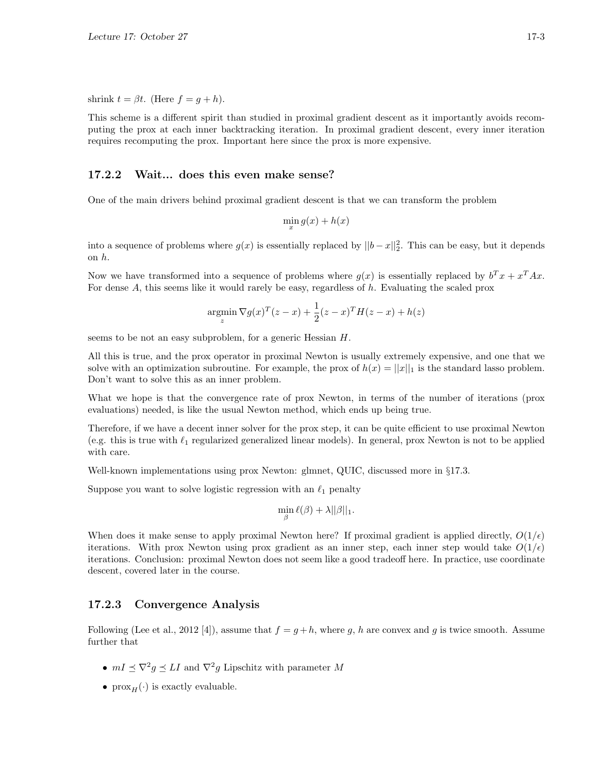shrink  $t = \beta t$ . (Here  $f = g + h$ ).

This scheme is a different spirit than studied in proximal gradient descent as it importantly avoids recomputing the prox at each inner backtracking iteration. In proximal gradient descent, every inner iteration requires recomputing the prox. Important here since the prox is more expensive.

#### 17.2.2 Wait... does this even make sense?

One of the main drivers behind proximal gradient descent is that we can transform the problem

$$
\min_{x} g(x) + h(x)
$$

into a sequence of problems where  $g(x)$  is essentially replaced by  $||b-x||_2^2$ . This can be easy, but it depends on h.

Now we have transformed into a sequence of problems where  $g(x)$  is essentially replaced by  $b^T x + x^T A x$ . For dense A, this seems like it would rarely be easy, regardless of h. Evaluating the scaled prox

$$
\operatorname*{argmin}_{z} \nabla g(x)^{T} (z - x) + \frac{1}{2} (z - x)^{T} H(z - x) + h(z)
$$

seems to be not an easy subproblem, for a generic Hessian  $H$ .

All this is true, and the prox operator in proximal Newton is usually extremely expensive, and one that we solve with an optimization subroutine. For example, the prox of  $h(x) = ||x||_1$  is the standard lasso problem. Don't want to solve this as an inner problem.

What we hope is that the convergence rate of prox Newton, in terms of the number of iterations (prox evaluations) needed, is like the usual Newton method, which ends up being true.

Therefore, if we have a decent inner solver for the prox step, it can be quite efficient to use proximal Newton (e.g. this is true with  $\ell_1$  regularized generalized linear models). In general, prox Newton is not to be applied with care.

Well-known implementations using prox Newton: glmnet, QUIC, discussed more in §17.3.

Suppose you want to solve logistic regression with an  $\ell_1$  penalty

$$
\min_{\beta} \ell(\beta) + \lambda ||\beta||_1.
$$

When does it make sense to apply proximal Newton here? If proximal gradient is applied directly,  $O(1/\epsilon)$ iterations. With prox Newton using prox gradient as an inner step, each inner step would take  $O(1/\epsilon)$ iterations. Conclusion: proximal Newton does not seem like a good tradeoff here. In practice, use coordinate descent, covered later in the course.

#### 17.2.3 Convergence Analysis

Following (Lee et al., 2012 [4]), assume that  $f = g + h$ , where g, h are convex and g is twice smooth. Assume further that

- $mI \preceq \nabla^2 g \preceq LI$  and  $\nabla^2 g$  Lipschitz with parameter M
- $prox<sub>H</sub>(.)$  is exactly evaluable.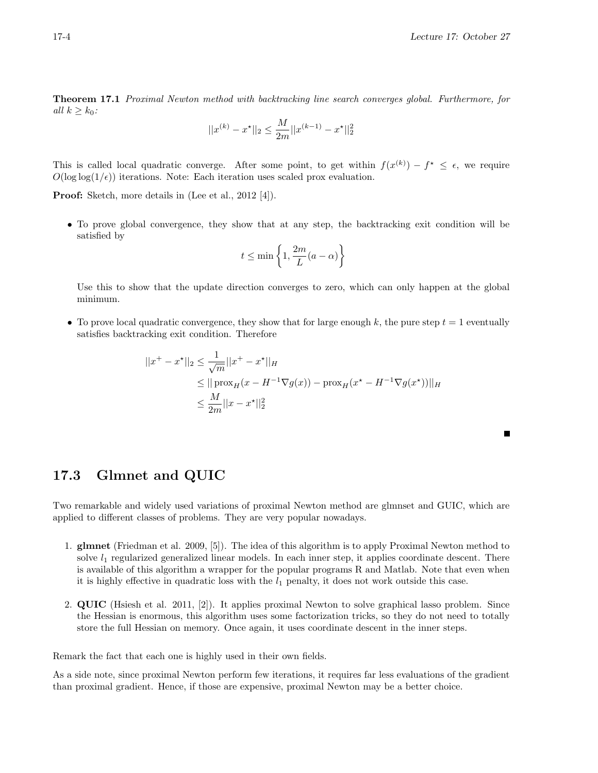٠

Theorem 17.1 Proximal Newton method with backtracking line search converges global. Furthermore, for all  $k \geq k_0$ :

$$
||x^{(k)} - x^\star||_2 \le \frac{M}{2m}||x^{(k-1)} - x^\star||_2^2
$$

This is called local quadratic converge. After some point, to get within  $f(x^{(k)}) - f^* \leq \epsilon$ , we require  $O(\log \log(1/\epsilon))$  iterations. Note: Each iteration uses scaled prox evaluation.

Proof: Sketch, more details in (Lee et al., 2012 [4]).

• To prove global convergence, they show that at any step, the backtracking exit condition will be satisfied by

$$
t \le \min\left\{1, \frac{2m}{L}(a-\alpha)\right\}
$$

Use this to show that the update direction converges to zero, which can only happen at the global minimum.

• To prove local quadratic convergence, they show that for large enough k, the pure step  $t = 1$  eventually satisfies backtracking exit condition. Therefore

$$
||x^{+} - x^{*}||_{2} \le \frac{1}{\sqrt{m}}||x^{+} - x^{*}||_{H}
$$
  
\n
$$
\le ||\operatorname{prox}_{H}(x - H^{-1}\nabla g(x)) - \operatorname{prox}_{H}(x^{*} - H^{-1}\nabla g(x^{*}))||_{H}
$$
  
\n
$$
\le \frac{M}{2m}||x - x^{*}||_{2}^{2}
$$

17.3 Glmnet and QUIC

Two remarkable and widely used variations of proximal Newton method are glmnset and GUIC, which are applied to different classes of problems. They are very popular nowadays.

- 1. glmnet (Friedman et al. 2009, [5]). The idea of this algorithm is to apply Proximal Newton method to solve  $l_1$  regularized generalized linear models. In each inner step, it applies coordinate descent. There is available of this algorithm a wrapper for the popular programs R and Matlab. Note that even when it is highly effective in quadratic loss with the  $l_1$  penalty, it does not work outside this case.
- 2. QUIC (Hsiesh et al. 2011, [2]). It applies proximal Newton to solve graphical lasso problem. Since the Hessian is enormous, this algorithm uses some factorization tricks, so they do not need to totally store the full Hessian on memory. Once again, it uses coordinate descent in the inner steps.

Remark the fact that each one is highly used in their own fields.

As a side note, since proximal Newton perform few iterations, it requires far less evaluations of the gradient than proximal gradient. Hence, if those are expensive, proximal Newton may be a better choice.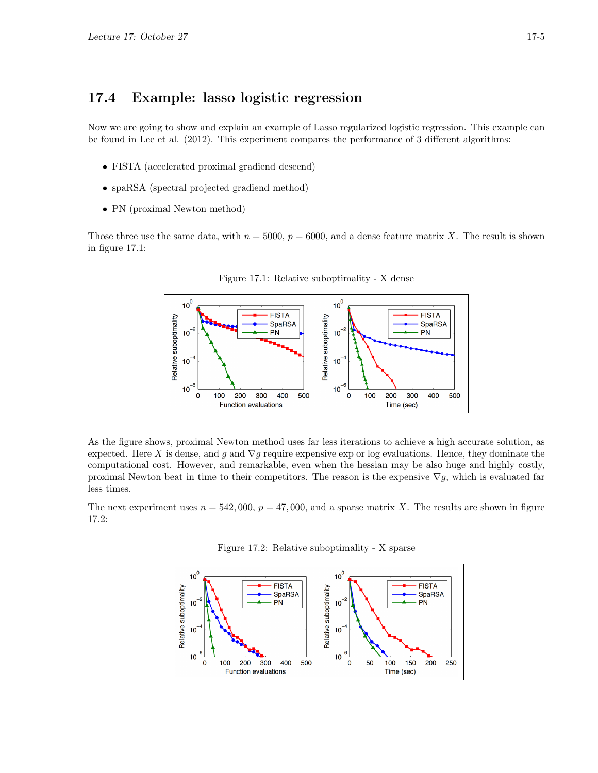## 17.4 Example: lasso logistic regression

Now we are going to show and explain an example of Lasso regularized logistic regression. This example can be found in Lee et al. (2012). This experiment compares the performance of 3 different algorithms:

- FISTA (accelerated proximal gradiend descend)
- spaRSA (spectral projected gradiend method)
- PN (proximal Newton method)

Those three use the same data, with  $n = 5000$ ,  $p = 6000$ , and a dense feature matrix X. The result is shown in figure 17.1:





As the figure shows, proximal Newton method uses far less iterations to achieve a high accurate solution, as expected. Here X is dense, and g and  $\nabla g$  require expensive exp or log evaluations. Hence, they dominate the computational cost. However, and remarkable, even when the hessian may be also huge and highly costly, proximal Newton beat in time to their competitors. The reason is the expensive  $\nabla g$ , which is evaluated far less times.

The next experiment uses  $n = 542,000$ ,  $p = 47,000$ , and a sparse matrix X. The results are shown in figure 17.2:



Figure 17.2: Relative suboptimality - X sparse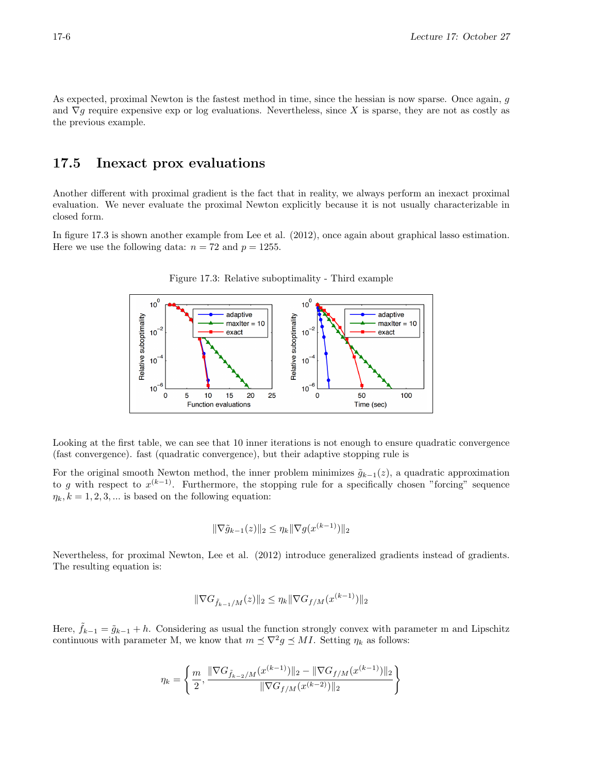As expected, proximal Newton is the fastest method in time, since the hessian is now sparse. Once again, g and  $\nabla g$  require expensive exp or log evaluations. Nevertheless, since X is sparse, they are not as costly as the previous example.

## 17.5 Inexact prox evaluations

Another different with proximal gradient is the fact that in reality, we always perform an inexact proximal evaluation. We never evaluate the proximal Newton explicitly because it is not usually characterizable in closed form.

In figure 17.3 is shown another example from Lee et al. (2012), once again about graphical lasso estimation. Here we use the following data:  $n = 72$  and  $p = 1255$ .



Figure 17.3: Relative suboptimality - Third example

Looking at the first table, we can see that 10 inner iterations is not enough to ensure quadratic convergence (fast convergence). fast (quadratic convergence), but their adaptive stopping rule is

For the original smooth Newton method, the inner problem minimizes  $\tilde{q}_{k-1}(z)$ , a quadratic approximation to g with respect to  $x^{(k-1)}$ . Furthermore, the stopping rule for a specifically chosen "forcing" sequence  $\eta_k, k = 1, 2, 3, \dots$  is based on the following equation:

$$
\|\nabla \tilde{g}_{k-1}(z)\|_2 \le \eta_k \|\nabla g(x^{(k-1)})\|_2
$$

Nevertheless, for proximal Newton, Lee et al. (2012) introduce generalized gradients instead of gradients. The resulting equation is:

$$
\|\nabla G_{\tilde{f}_{k-1}/M}(z)\|_2 \le \eta_k \|\nabla G_{f/M}(x^{(k-1)})\|_2
$$

Here,  $\tilde{f}_{k-1} = \tilde{g}_{k-1} + h$ . Considering as usual the function strongly convex with parameter m and Lipschitz continuous with parameter M, we know that  $m \leq \nabla^2 g \leq MI$ . Setting  $\eta_k$  as follows:

$$
\eta_k = \left\{ \frac{m}{2}, \frac{\|\nabla G_{\tilde{f}_{k-2}/M}(x^{(k-1)})\|_2 - \|\nabla G_{f/M}(x^{(k-1)})\|_2}{\|\nabla G_{f/M}(x^{(k-2)})\|_2} \right\}
$$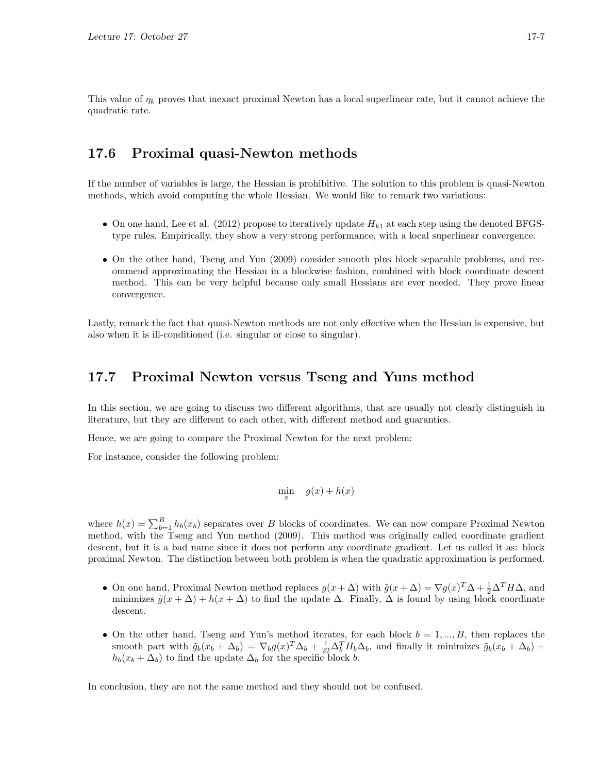This value of  $\eta_k$  proves that inexact proximal Newton has a local superlinear rate, but it cannot achieve the quadratic rate.

## 17.6 Proximal quasi-Newton methods

If the number of variables is large, the Hessian is prohibitive. The solution to this problem is quasi-Newton methods, which avoid computing the whole Hessian. We would like to remark two variations:

- On one hand, Lee et al. (2012) propose to iteratively update  $H_{k1}$  at each step using the denoted BFGStype rules. Empirically, they show a very strong performance, with a local superlinear convergence.
- On the other hand, Tseng and Yun (2009) consider smooth plus block separable problems, and recommend approximating the Hessian in a blockwise fashion, combined with block coordinate descent method. This can be very helpful because only small Hessians are ever needed. They prove linear convergence.

Lastly, remark the fact that quasi-Newton methods are not only effective when the Hessian is expensive, but also when it is ill-conditioned (i.e. singular or close to singular).

## 17.7 Proximal Newton versus Tseng and Yuns method

In this section, we are going to discuss two different algorithms, that are usually not clearly distinguish in literature, but they are different to each other, with different method and guaranties.

Hence, we are going to compare the Proximal Newton for the next problem:

For instance, consider the following problem:

$$
\min_{x} \quad g(x) + h(x)
$$

where  $h(x) = \sum_{b=1}^{B} h_b(x_b)$  separates over B blocks of coordinates. We can now compare Proximal Newton method, with the Tseng and Yun method (2009). This method was originally called coordinate gradient descent, but it is a bad name since it does not perform any coordinate gradient. Let us called it as: block proximal Newton. The distinction between both problem is when the quadratic approximation is performed.

- On one hand, Proximal Newton method replaces  $g(x + \Delta)$  with  $\tilde{g}(x + \Delta) = \nabla g(x)^T \Delta + \frac{1}{2} \Delta^T H \Delta$ , and minimizes  $\tilde{g}(x + \Delta) + h(x + \Delta)$  to find the update  $\Delta$ . Finally,  $\Delta$  is found by using block coordinate descent.
- On the other hand, Tseng and Yun's method iterates, for each block  $b = 1, ..., B$ , then replaces the smooth part with  $\tilde{g}_b(x_b + \Delta_b) = \nabla_b g(x)^T \Delta_b + \frac{1}{22} \Delta_b^T H_b \Delta_b$ , and finally it minimizes  $\tilde{g}_b(x_b + \Delta_b)$  +  $h_b(x_b + \Delta_b)$  to find the update  $\Delta_b$  for the specific block b.

In conclusion, they are not the same method and they should not be confused.